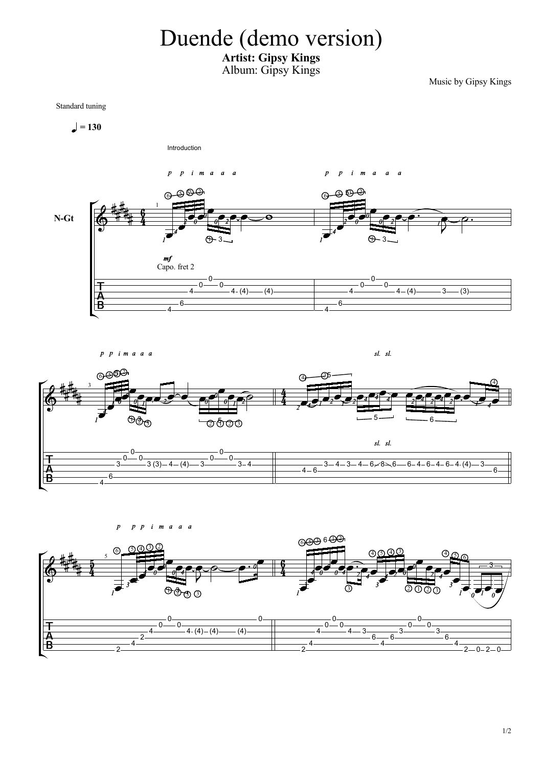## Duende (demo version)

## Artist: Gipsy Kings Album: Gipsy Kings

Music by Gipsy Kings

Standard tuning

$$
\blacksquare = 130
$$





ე ვე ვე ვე კანდა და მოაღალი და მოვი  $\delta$  and  $\delta$  and  $\delta$  and  $\delta$  and  $\delta$  and  $\delta$  and  $\delta$  and  $\delta$  and  $\delta$  and  $\delta$  and  $\delta$  and  $\delta$  and  $\delta$  and  $\delta$  and  $\delta$  and  $\delta$  and  $\delta$  and  $\delta$  and  $\delta$  and  $\delta$  and  $\delta$  and  $\delta$  and  $\delta$  and  $\delta$  and  $\delta$  <sup>4</sup> - 35 - 1  $\overline{\phantom{a}}$ — $\longrightarrow$  6— <sup>2</sup> <sup>3</sup> <sup>2</sup> <sup>1</sup> <sup>2</sup> <sup>3</sup> 3 5 sl. sl.  $\overline{0}$  $0 \longrightarrow$  $\frac{1}{3}$   $\frac{0}{3}$   $\frac{0}{3}$   $\frac{0}{3}$   $\frac{0}{4}$   $\frac{0}{3}$   $\frac{0}{3}$   $\frac{0}{3}$   $\frac{0}{3}$   $\frac{0}{4}$   $\frac{0}{3}$   $\frac{0}{4}$  $\begin{array}{c|c}\n0 & 0 \\
\hline\n-3 & 4\n\end{array}$  $\frac{3-4-3-4-6}{8}$  $-6 - 4 - 6 - 4 \cdot (4) - 3 - 6$  $+$ İΒ  $4 \frac{1}{2}$ 

 $sl. sl.$ 

$$
\begin{array}{|c|c|c|c|c|}\n\hline\n\text{A} & \text{a. } a & \text{b. } a & \text{c.} & \text{d.} & \text{e.} & \text{f.} & \text{f.} & \text{g.} & \text{g.} & \text{g.} & \text{g.} & \text{g.} & \text{g.} & \text{g.} & \text{g.} & \text{g.} & \text{g.} & \text{g.} & \text{g.} & \text{g.} & \text{g.} & \text{g.} & \text{g.} & \text{g.} & \text{g.} & \text{g.} & \text{g.} & \text{g.} & \text{g.} & \text{g.} & \text{g.} & \text{g.} & \text{g.} & \text{g.} & \text{g.} & \text{g.} & \text{g.} & \text{g.} & \text{g.} & \text{g.} & \text{g.} & \text{g.} & \text{g.} & \text{g.} & \text{g.} & \text{g.} & \text{g.} & \text{g.} & \text{g.} & \text{g.} & \text{g.} & \text{g.} & \text{g.} & \text{g.} & \text{g.} & \text{g.} & \text{g.} & \text{g.} & \text{g.} & \text{g.} & \text{g.} & \text{g.} & \text{g.} & \text{g.} & \text{g.} & \text{g.} & \text{g.} & \text{g.} & \text{g.} & \text{g.} & \text{g.} & \text{g.} & \text{g.} & \text{g.} & \text{g.} & \text{g.} & \text{g.} & \text{g.} & \text{g.} & \text{g.} & \text{g.} & \text{g.} & \text{g.} & \text{g.} & \text{g.} & \text{g.} & \text{g.} & \text{g.} & \text{g.} & \text{g.} & \text{g.} & \text{g.} & \text{g.} & \text{g.} & \text{g.} & \text{g.} & \text{g.} & \text{g.} & \text{g.} & \text{g.} & \text{g.} & \text{g.} & \text{g.} & \text{g.} & \text
$$